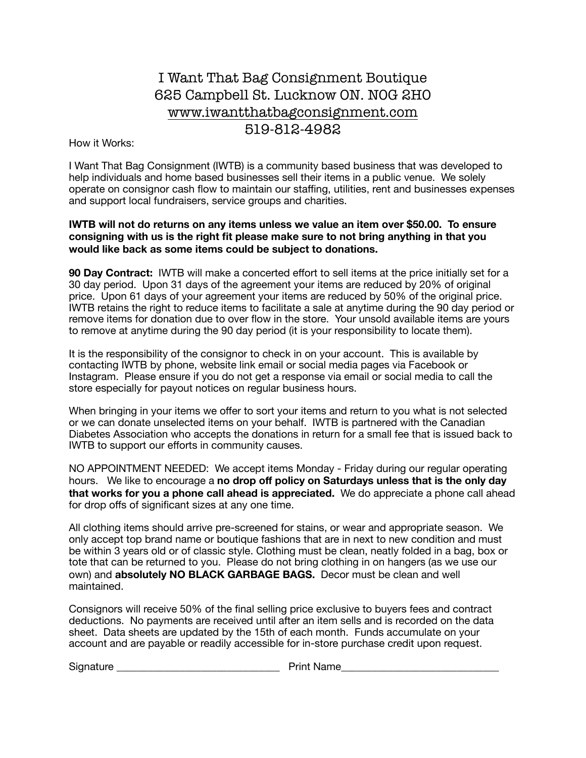## I Want That Bag Consignment Boutique 625 Campbell St. Lucknow ON. N0G 2H0 www.iwantthatbagconsignment.com 519-812-4982

How it Works:

I Want That Bag Consignment (IWTB) is a community based business that was developed to help individuals and home based businesses sell their items in a public venue. We solely operate on consignor cash flow to maintain our staffing, utilities, rent and businesses expenses and support local fundraisers, service groups and charities.

## **IWTB will not do returns on any items unless we value an item over \$50.00. To ensure consigning with us is the right fit please make sure to not bring anything in that you would like back as some items could be subject to donations.**

**90 Day Contract:** IWTB will make a concerted effort to sell items at the price initially set for a 30 day period. Upon 31 days of the agreement your items are reduced by 20% of original price. Upon 61 days of your agreement your items are reduced by 50% of the original price. IWTB retains the right to reduce items to facilitate a sale at anytime during the 90 day period or remove items for donation due to over flow in the store. Your unsold available items are yours to remove at anytime during the 90 day period (it is your responsibility to locate them).

It is the responsibility of the consignor to check in on your account. This is available by contacting IWTB by phone, website link email or social media pages via Facebook or Instagram. Please ensure if you do not get a response via email or social media to call the store especially for payout notices on regular business hours.

When bringing in your items we offer to sort your items and return to you what is not selected or we can donate unselected items on your behalf. IWTB is partnered with the Canadian Diabetes Association who accepts the donations in return for a small fee that is issued back to IWTB to support our efforts in community causes.

NO APPOINTMENT NEEDED: We accept items Monday - Friday during our regular operating hours. We like to encourage a **no drop off policy on Saturdays unless that is the only day that works for you a phone call ahead is appreciated.** We do appreciate a phone call ahead for drop offs of significant sizes at any one time.

All clothing items should arrive pre-screened for stains, or wear and appropriate season. We only accept top brand name or boutique fashions that are in next to new condition and must be within 3 years old or of classic style. Clothing must be clean, neatly folded in a bag, box or tote that can be returned to you. Please do not bring clothing in on hangers (as we use our own) and **absolutely NO BLACK GARBAGE BAGS.** Decor must be clean and well maintained.

Consignors will receive 50% of the final selling price exclusive to buyers fees and contract deductions. No payments are received until after an item sells and is recorded on the data sheet. Data sheets are updated by the 15th of each month. Funds accumulate on your account and are payable or readily accessible for in-store purchase credit upon request.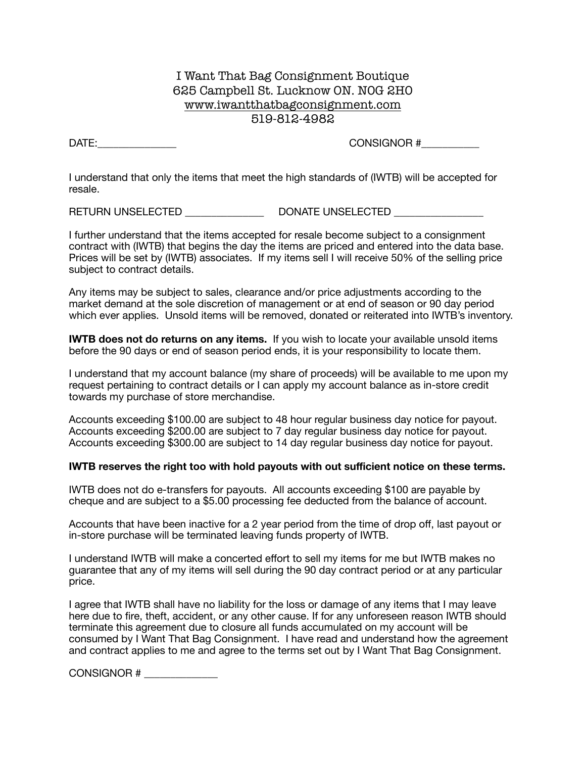## I Want That Bag Consignment Boutique 625 Campbell St. Lucknow ON. N0G 2H0 www.iwantthatbagconsignment.com 519-812-4982

DATE:\_\_\_\_\_\_\_\_\_\_\_\_\_\_\_ CONSIGNOR #\_\_\_\_\_\_\_\_\_\_\_

I understand that only the items that meet the high standards of (IWTB) will be accepted for resale.

RETURN UNSELECTED \_\_\_\_\_\_\_\_\_\_\_\_\_\_\_ DONATE UNSELECTED \_\_\_\_\_\_\_\_\_\_\_\_\_\_\_\_\_

I further understand that the items accepted for resale become subject to a consignment contract with (IWTB) that begins the day the items are priced and entered into the data base. Prices will be set by (IWTB) associates. If my items sell I will receive 50% of the selling price subject to contract details.

Any items may be subject to sales, clearance and/or price adjustments according to the market demand at the sole discretion of management or at end of season or 90 day period which ever applies. Unsold items will be removed, donated or reiterated into IWTB's inventory.

**IWTB does not do returns on any items.** If you wish to locate your available unsold items before the 90 days or end of season period ends, it is your responsibility to locate them.

I understand that my account balance (my share of proceeds) will be available to me upon my request pertaining to contract details or I can apply my account balance as in-store credit towards my purchase of store merchandise.

Accounts exceeding \$100.00 are subject to 48 hour regular business day notice for payout. Accounts exceeding \$200.00 are subject to 7 day regular business day notice for payout. Accounts exceeding \$300.00 are subject to 14 day regular business day notice for payout.

## **IWTB reserves the right too with hold payouts with out sufficient notice on these terms.**

IWTB does not do e-transfers for payouts. All accounts exceeding \$100 are payable by cheque and are subject to a \$5.00 processing fee deducted from the balance of account.

Accounts that have been inactive for a 2 year period from the time of drop off, last payout or in-store purchase will be terminated leaving funds property of IWTB.

I understand IWTB will make a concerted effort to sell my items for me but IWTB makes no guarantee that any of my items will sell during the 90 day contract period or at any particular price.

I agree that IWTB shall have no liability for the loss or damage of any items that I may leave here due to fire, theft, accident, or any other cause. If for any unforeseen reason IWTB should terminate this agreement due to closure all funds accumulated on my account will be consumed by I Want That Bag Consignment. I have read and understand how the agreement and contract applies to me and agree to the terms set out by I Want That Bag Consignment.

CONSIGNOR # \_\_\_\_\_\_\_\_\_\_\_\_\_\_